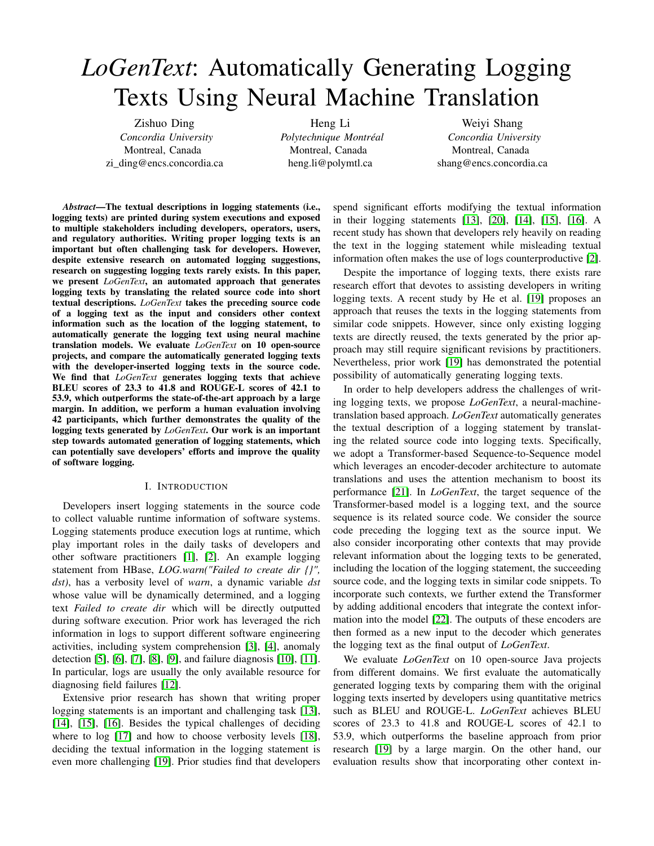# <span id="page-0-0"></span>*LoGenText*: Automatically Generating Logging Texts Using Neural Machine Translation

Zishuo Ding *Concordia University* Montreal, Canada zi\_ding@encs.concordia.ca

Heng Li *Polytechnique Montréal* Montreal, Canada heng.li@polymtl.ca

Weiyi Shang *Concordia University* Montreal, Canada shang@encs.concordia.ca

*Abstract*—The textual descriptions in logging statements (i.e., logging texts) are printed during system executions and exposed to multiple stakeholders including developers, operators, users, and regulatory authorities. Writing proper logging texts is an important but often challenging task for developers. However, despite extensive research on automated logging suggestions, research on suggesting logging texts rarely exists. In this paper, we present *LoGenText*, an automated approach that generates logging texts by translating the related source code into short textual descriptions. *LoGenText* takes the preceding source code of a logging text as the input and considers other context information such as the location of the logging statement, to automatically generate the logging text using neural machine translation models. We evaluate *LoGenText* on 10 open-source projects, and compare the automatically generated logging texts with the developer-inserted logging texts in the source code. We find that *LoGenText* generates logging texts that achieve BLEU scores of 23.3 to 41.8 and ROUGE-L scores of 42.1 to 53.9, which outperforms the state-of-the-art approach by a large margin. In addition, we perform a human evaluation involving 42 participants, which further demonstrates the quality of the logging texts generated by *LoGenText*. Our work is an important step towards automated generation of logging statements, which can potentially save developers' efforts and improve the quality of software logging.

### I. INTRODUCTION

Developers insert logging statements in the source code to collect valuable runtime information of software systems. Logging statements produce execution logs at runtime, which play important roles in the daily tasks of developers and other software practitioners [\[1\]](#page-10-0), [\[2\]](#page-10-1). An example logging statement from HBase, *LOG.warn("Failed to create dir {}", dst)*, has a verbosity level of *warn*, a dynamic variable *dst* whose value will be dynamically determined, and a logging text *Failed to create dir* which will be directly outputted during software execution. Prior work has leveraged the rich information in logs to support different software engineering activities, including system comprehension [\[3\]](#page-10-2), [\[4\]](#page-10-3), anomaly detection [\[5\]](#page-10-4), [\[6\]](#page-10-5), [\[7\]](#page-10-6), [\[8\]](#page-10-7), [\[9\]](#page-10-8), and failure diagnosis [\[10\]](#page-10-9), [\[11\]](#page-10-10). In particular, logs are usually the only available resource for diagnosing field failures [\[12\]](#page-10-11).

Extensive prior research has shown that writing proper logging statements is an important and challenging task [\[13\]](#page-10-12), [\[14\]](#page-10-13), [\[15\]](#page-10-14), [\[16\]](#page-10-15). Besides the typical challenges of deciding where to log [\[17\]](#page-10-16) and how to choose verbosity levels [\[18\]](#page-10-17), deciding the textual information in the logging statement is even more challenging [\[19\]](#page-10-18). Prior studies find that developers

spend significant efforts modifying the textual information in their logging statements [\[13\]](#page-10-12), [\[20\]](#page-10-19), [\[14\]](#page-10-13), [\[15\]](#page-10-14), [\[16\]](#page-10-15). A recent study has shown that developers rely heavily on reading the text in the logging statement while misleading textual information often makes the use of logs counterproductive [\[2\]](#page-10-1).

Despite the importance of logging texts, there exists rare research effort that devotes to assisting developers in writing logging texts. A recent study by He et al. [\[19\]](#page-10-18) proposes an approach that reuses the texts in the logging statements from similar code snippets. However, since only existing logging texts are directly reused, the texts generated by the prior approach may still require significant revisions by practitioners. Nevertheless, prior work [\[19\]](#page-10-18) has demonstrated the potential possibility of automatically generating logging texts.

In order to help developers address the challenges of writing logging texts, we propose *LoGenText*, a neural-machinetranslation based approach. *LoGenText* automatically generates the textual description of a logging statement by translating the related source code into logging texts. Specifically, we adopt a Transformer-based Sequence-to-Sequence model which leverages an encoder-decoder architecture to automate translations and uses the attention mechanism to boost its performance [\[21\]](#page-10-20). In *LoGenText*, the target sequence of the Transformer-based model is a logging text, and the source sequence is its related source code. We consider the source code preceding the logging text as the source input. We also consider incorporating other contexts that may provide relevant information about the logging texts to be generated, including the location of the logging statement, the succeeding source code, and the logging texts in similar code snippets. To incorporate such contexts, we further extend the Transformer by adding additional encoders that integrate the context information into the model [\[22\]](#page-10-21). The outputs of these encoders are then formed as a new input to the decoder which generates the logging text as the final output of *LoGenText*.

We evaluate *LoGenText* on 10 open-source Java projects from different domains. We first evaluate the automatically generated logging texts by comparing them with the original logging texts inserted by developers using quantitative metrics such as BLEU and ROUGE-L. *LoGenText* achieves BLEU scores of 23.3 to 41.8 and ROUGE-L scores of 42.1 to 53.9, which outperforms the baseline approach from prior research [\[19\]](#page-10-18) by a large margin. On the other hand, our evaluation results show that incorporating other context in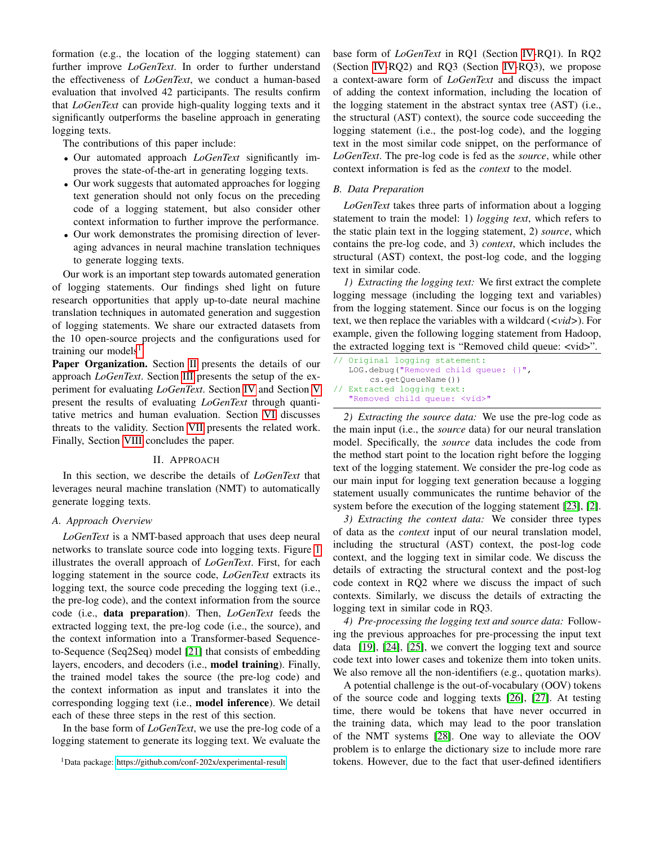formation (e.g., the location of the logging statement) can further improve *LoGenText*. In order to further understand the effectiveness of *LoGenText*, we conduct a human-based evaluation that involved 42 participants. The results confirm that *LoGenText* can provide high-quality logging texts and it significantly outperforms the baseline approach in generating logging texts.

The contributions of this paper include:

- Our automated approach *LoGenText* significantly improves the state-of-the-art in generating logging texts.
- Our work suggests that automated approaches for logging text generation should not only focus on the preceding code of a logging statement, but also consider other context information to further improve the performance.
- Our work demonstrates the promising direction of leveraging advances in neural machine translation techniques to generate logging texts.

Our work is an important step towards automated generation of logging statements. Our findings shed light on future research opportunities that apply up-to-date neural machine translation techniques in automated generation and suggestion of logging statements. We share our extracted datasets from the 10 open-source projects and the configurations used for training our models<sup>[1](#page-0-0)</sup>.

Paper Organization. Section [II](#page-1-0) presents the details of our approach *LoGenText*. Section [III](#page-3-0) presents the setup of the experiment for evaluating *LoGenText*. Section [IV](#page-4-0) and Section [V](#page-7-0) present the results of evaluating *LoGenText* through quantitative metrics and human evaluation. Section [VI](#page-9-0) discusses threats to the validity. Section [VII](#page-9-1) presents the related work. Finally, Section [VIII](#page-9-2) concludes the paper.

### II. APPROACH

<span id="page-1-0"></span>In this section, we describe the details of *LoGenText* that leverages neural machine translation (NMT) to automatically generate logging texts.

#### *A. Approach Overview*

*LoGenText* is a NMT-based approach that uses deep neural networks to translate source code into logging texts. Figure [1](#page-2-0) illustrates the overall approach of *LoGenText*. First, for each logging statement in the source code, *LoGenText* extracts its logging text, the source code preceding the logging text (i.e., the pre-log code), and the context information from the source code (i.e., data preparation). Then, *LoGenText* feeds the extracted logging text, the pre-log code (i.e., the source), and the context information into a Transformer-based Sequenceto-Sequence (Seq2Seq) model [\[21\]](#page-10-20) that consists of embedding layers, encoders, and decoders (i.e., model training). Finally, the trained model takes the source (the pre-log code) and the context information as input and translates it into the corresponding logging text (i.e., model inference). We detail each of these three steps in the rest of this section.

In the base form of *LoGenText*, we use the pre-log code of a logging statement to generate its logging text. We evaluate the

base form of *LoGenText* in RQ1 (Section [IV-](#page-4-0)RQ1). In RQ2 (Section [IV-](#page-4-0)RQ2) and RQ3 (Section [IV-](#page-4-0)RQ3), we propose a context-aware form of *LoGenText* and discuss the impact of adding the context information, including the location of the logging statement in the abstract syntax tree (AST) (i.e., the structural (AST) context), the source code succeeding the logging statement (i.e., the post-log code), and the logging text in the most similar code snippet, on the performance of *LoGenText*. The pre-log code is fed as the *source*, while other context information is fed as the *context* to the model.

#### *B. Data Preparation*

*LoGenText* takes three parts of information about a logging statement to train the model: 1) *logging text*, which refers to the static plain text in the logging statement, 2) *source*, which contains the pre-log code, and 3) *context*, which includes the structural (AST) context, the post-log code, and the logging text in similar code.

*1) Extracting the logging text:* We first extract the complete logging message (including the logging text and variables) from the logging statement. Since our focus is on the logging text, we then replace the variables with a wildcard (*<vid>*). For example, given the following logging statement from Hadoop, the extracted logging text is "Removed child queue: <vid>".

```
Original logging statement:
  LOG.debug("Removed child queue: {}",
       cs.getQueueName())
// Extracted logging text:
  "Removed child queue: <vid>"
```
*2) Extracting the source data:* We use the pre-log code as the main input (i.e., the *source* data) for our neural translation model. Specifically, the *source* data includes the code from the method start point to the location right before the logging text of the logging statement. We consider the pre-log code as our main input for logging text generation because a logging statement usually communicates the runtime behavior of the system before the execution of the logging statement [\[23\]](#page-10-22), [\[2\]](#page-10-1).

*3) Extracting the context data:* We consider three types of data as the *context* input of our neural translation model, including the structural (AST) context, the post-log code context, and the logging text in similar code. We discuss the details of extracting the structural context and the post-log code context in RQ2 where we discuss the impact of such contexts. Similarly, we discuss the details of extracting the logging text in similar code in RQ3.

*4) Pre-processing the logging text and source data:* Following the previous approaches for pre-processing the input text data [\[19\]](#page-10-18), [\[24\]](#page-10-23), [\[25\]](#page-10-24), we convert the logging text and source code text into lower cases and tokenize them into token units. We also remove all the non-identifiers (e.g., quotation marks).

A potential challenge is the out-of-vocabulary (OOV) tokens of the source code and logging texts [\[26\]](#page-10-25), [\[27\]](#page-10-26). At testing time, there would be tokens that have never occurred in the training data, which may lead to the poor translation of the NMT systems [\[28\]](#page-10-27). One way to alleviate the OOV problem is to enlarge the dictionary size to include more rare tokens. However, due to the fact that user-defined identifiers

<sup>1</sup>Data package:<https://github.com/conf-202x/experimental-result>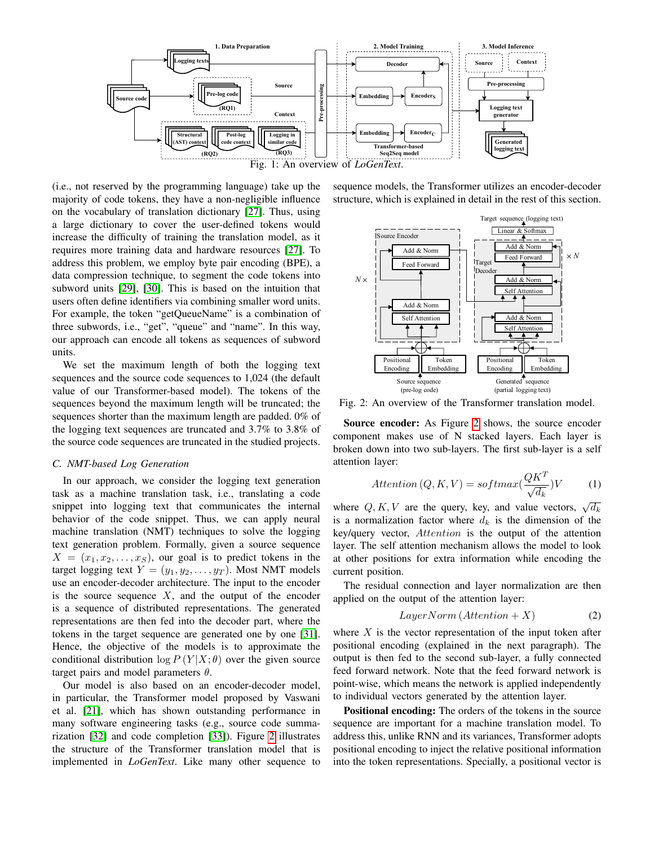<span id="page-2-0"></span>

(i.e., not reserved by the programming language) take up the majority of code tokens, they have a non-negligible influence on the vocabulary of translation dictionary [\[27\]](#page-10-26). Thus, using a large dictionary to cover the user-defined tokens would increase the difficulty of training the translation model, as it requires more training data and hardware resources [\[27\]](#page-10-26). To address this problem, we employ byte pair encoding (BPE), a data compression technique, to segment the code tokens into subword units [\[29\]](#page-10-28), [\[30\]](#page-10-29). This is based on the intuition that users often define identifiers via combining smaller word units. For example, the token "getQueueName" is a combination of three subwords, i.e., "get", "queue" and "name". In this way, our approach can encode all tokens as sequences of subword units.

We set the maximum length of both the logging text sequences and the source code sequences to 1,024 (the default value of our Transformer-based model). The tokens of the sequences beyond the maximum length will be truncated; the sequences shorter than the maximum length are padded. 0% of the logging text sequences are truncated and 3.7% to 3.8% of the source code sequences are truncated in the studied projects.

#### *C. NMT-based Log Generation*

In our approach, we consider the logging text generation task as a machine translation task, i.e., translating a code snippet into logging text that communicates the internal behavior of the code snippet. Thus, we can apply neural machine translation (NMT) techniques to solve the logging text generation problem. Formally, given a source sequence  $X = (x_1, x_2, \ldots, x_S)$ , our goal is to predict tokens in the target logging text  $Y = (y_1, y_2, \dots, y_T)$ . Most NMT models use an encoder-decoder architecture. The input to the encoder is the source sequence  $X$ , and the output of the encoder is a sequence of distributed representations. The generated representations are then fed into the decoder part, where the tokens in the target sequence are generated one by one [\[31\]](#page-10-30). Hence, the objective of the models is to approximate the conditional distribution  $\log P(Y|X;\theta)$  over the given source target pairs and model parameters  $\theta$ .

Our model is also based on an encoder-decoder model, in particular, the Transformer model proposed by Vaswani et al. [\[21\]](#page-10-20), which has shown outstanding performance in many software engineering tasks (e.g., source code summarization [\[32\]](#page-10-31) and code completion [\[33\]](#page-10-32)). Figure [2](#page-2-1) illustrates the structure of the Transformer translation model that is implemented in *LoGenText*. Like many other sequence to

sequence models, the Transformer utilizes an encoder-decoder structure, which is explained in detail in the rest of this section.

<span id="page-2-1"></span>

Fig. 2: An overview of the Transformer translation model.

Source encoder: As Figure [2](#page-2-1) shows, the source encoder component makes use of N stacked layers. Each layer is broken down into two sub-layers. The first sub-layer is a self attention layer:

$$
Attention(Q, K, V) = softmax(\frac{QK^{T}}{\sqrt{d_k}})V
$$
 (1)

where Q, K, V are the query, key, and value vectors,  $\sqrt{d_k}$ is a normalization factor where  $d_k$  is the dimension of the key/query vector, Attention is the output of the attention layer. The self attention mechanism allows the model to look at other positions for extra information while encoding the current position.

The residual connection and layer normalization are then applied on the output of the attention layer:

$$
LayerNorm\left(Attention + X\right) \tag{2}
$$

where  $X$  is the vector representation of the input token after positional encoding (explained in the next paragraph). The output is then fed to the second sub-layer, a fully connected feed forward network. Note that the feed forward network is point-wise, which means the network is applied independently to individual vectors generated by the attention layer.

Positional encoding: The orders of the tokens in the source sequence are important for a machine translation model. To address this, unlike RNN and its variances, Transformer adopts positional encoding to inject the relative positional information into the token representations. Specially, a positional vector is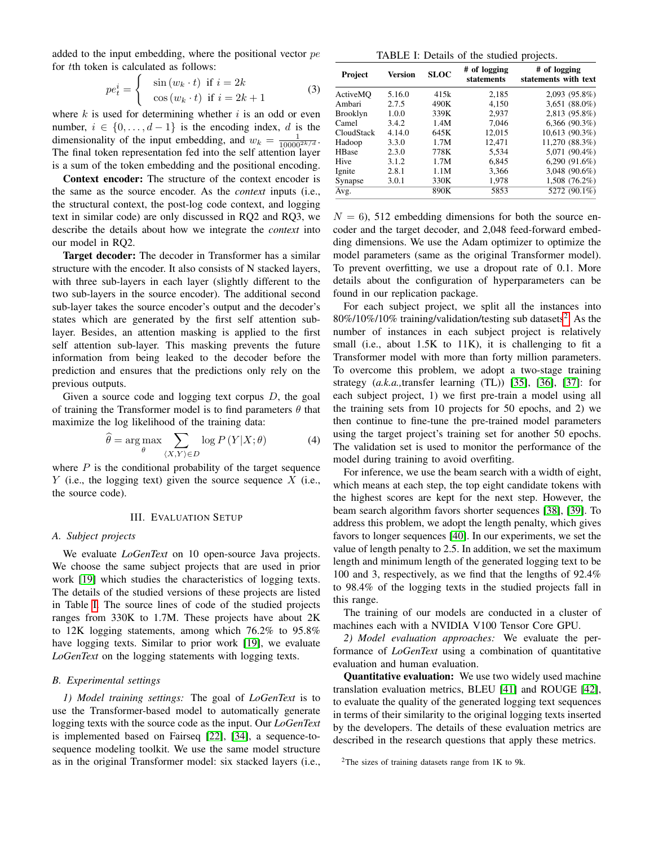added to the input embedding, where the positional vector  $pe$ for tth token is calculated as follows:

$$
pe_t^i = \begin{cases} \sin(w_k \cdot t) & \text{if } i = 2k \\ \cos(w_k \cdot t) & \text{if } i = 2k + 1 \end{cases}
$$
 (3)

where  $k$  is used for determining whether  $i$  is an odd or even number,  $i \in \{0, \ldots, d-1\}$  is the encoding index, d is the dimensionality of the input embedding, and  $w_k = \frac{1}{10000^{2k/d}}$ . The final token representation fed into the self attention layer is a sum of the token embedding and the positional encoding.

Context encoder: The structure of the context encoder is the same as the source encoder. As the *context* inputs (i.e., the structural context, the post-log code context, and logging text in similar code) are only discussed in RQ2 and RQ3, we describe the details about how we integrate the *context* into our model in RQ2.

Target decoder: The decoder in Transformer has a similar structure with the encoder. It also consists of N stacked layers, with three sub-layers in each layer (slightly different to the two sub-layers in the source encoder). The additional second sub-layer takes the source encoder's output and the decoder's states which are generated by the first self attention sublayer. Besides, an attention masking is applied to the first self attention sub-layer. This masking prevents the future information from being leaked to the decoder before the prediction and ensures that the predictions only rely on the previous outputs.

Given a source code and logging text corpus  $D$ , the goal of training the Transformer model is to find parameters  $\theta$  that maximize the log likelihood of the training data:

$$
\widehat{\theta} = \underset{\theta}{\arg \max} \sum_{\langle X, Y \rangle \in D} \log P\left(Y | X; \theta\right) \tag{4}
$$

where  $P$  is the conditional probability of the target sequence  $Y$  (i.e., the logging text) given the source sequence  $X$  (i.e., the source code).

#### III. EVALUATION SETUP

#### <span id="page-3-0"></span>*A. Subject projects*

We evaluate *LoGenText* on 10 open-source Java projects. We choose the same subject projects that are used in prior work [\[19\]](#page-10-18) which studies the characteristics of logging texts. The details of the studied versions of these projects are listed in Table [I.](#page-3-1) The source lines of code of the studied projects ranges from 330K to 1.7M. These projects have about 2K to 12K logging statements, among which 76.2% to 95.8% have logging texts. Similar to prior work [\[19\]](#page-10-18), we evaluate *LoGenText* on the logging statements with logging texts.

## *B. Experimental settings*

*1) Model training settings:* The goal of *LoGenText* is to use the Transformer-based model to automatically generate logging texts with the source code as the input. Our *LoGenText* is implemented based on Fairseq [\[22\]](#page-10-21), [\[34\]](#page-10-33), a sequence-tosequence modeling toolkit. We use the same model structure as in the original Transformer model: six stacked layers (i.e.,

| TABLE I: Details of the studied projects. |
|-------------------------------------------|
|-------------------------------------------|

<span id="page-3-1"></span>

| Project         | Version | <b>SLOC</b> | # of logging<br>statements | # of logging<br>statements with text |
|-----------------|---------|-------------|----------------------------|--------------------------------------|
| ActiveMO        | 5.16.0  | 415k        | 2,185                      | 2,093 (95.8%)                        |
| Ambari          | 2.7.5   | 490K        | 4,150                      | $3,651(88.0\%)$                      |
| <b>Brooklyn</b> | 1.0.0   | 339K        | 2,937                      | 2,813 (95.8%)                        |
| Camel           | 3.4.2   | 1.4M        | 7.046                      | $6,366$ (90.3%)                      |
| CloudStack      | 4.14.0  | 645K        | 12,015                     | 10,613(90.3%)                        |
| Hadoop          | 3.3.0   | 1.7M        | 12.471                     | 11,270 (88.3%)                       |
| <b>HBase</b>    | 2.3.0   | 778K        | 5.534                      | 5,071 (90.4%)                        |
| Hive            | 3.1.2   | 1.7M        | 6,845                      | $6,290(91.6\%)$                      |
| Ignite          | 2.8.1   | 1.1M        | 3,366                      | $3,048$ (90.6%)                      |
| Synapse         | 3.0.1   | 330K        | 1,978                      | 1,508 (76.2%)                        |
| Avg.            |         | 890K        | 5853                       | 5272 (90.1%)                         |

 $N = 6$ ), 512 embedding dimensions for both the source encoder and the target decoder, and 2,048 feed-forward embedding dimensions. We use the Adam optimizer to optimize the model parameters (same as the original Transformer model). To prevent overfitting, we use a dropout rate of 0.1. More details about the configuration of hyperparameters can be found in our replication package.

For each subject project, we split all the instances into  $80\%/10\%/10\%$  training/validation/testing sub datasets<sup>[2](#page-0-0)</sup>. As the number of instances in each subject project is relatively small (i.e., about 1.5K to 11K), it is challenging to fit a Transformer model with more than forty million parameters. To overcome this problem, we adopt a two-stage training strategy (*a.k.a.,*transfer learning (TL)) [\[35\]](#page-10-34), [\[36\]](#page-10-35), [\[37\]](#page-10-36): for each subject project, 1) we first pre-train a model using all the training sets from 10 projects for 50 epochs, and 2) we then continue to fine-tune the pre-trained model parameters using the target project's training set for another 50 epochs. The validation set is used to monitor the performance of the model during training to avoid overfiting.

For inference, we use the beam search with a width of eight, which means at each step, the top eight candidate tokens with the highest scores are kept for the next step. However, the beam search algorithm favors shorter sequences [\[38\]](#page-10-37), [\[39\]](#page-11-0). To address this problem, we adopt the length penalty, which gives favors to longer sequences [\[40\]](#page-11-1). In our experiments, we set the value of length penalty to 2.5. In addition, we set the maximum length and minimum length of the generated logging text to be 100 and 3, respectively, as we find that the lengths of 92.4% to 98.4% of the logging texts in the studied projects fall in this range.

The training of our models are conducted in a cluster of machines each with a NVIDIA V100 Tensor Core GPU.

*2) Model evaluation approaches:* We evaluate the performance of *LoGenText* using a combination of quantitative evaluation and human evaluation.

Quantitative evaluation: We use two widely used machine translation evaluation metrics, BLEU [\[41\]](#page-11-2) and ROUGE [\[42\]](#page-11-3), to evaluate the quality of the generated logging text sequences in terms of their similarity to the original logging texts inserted by the developers. The details of these evaluation metrics are described in the research questions that apply these metrics.

<sup>&</sup>lt;sup>2</sup>The sizes of training datasets range from  $1K$  to  $9k$ .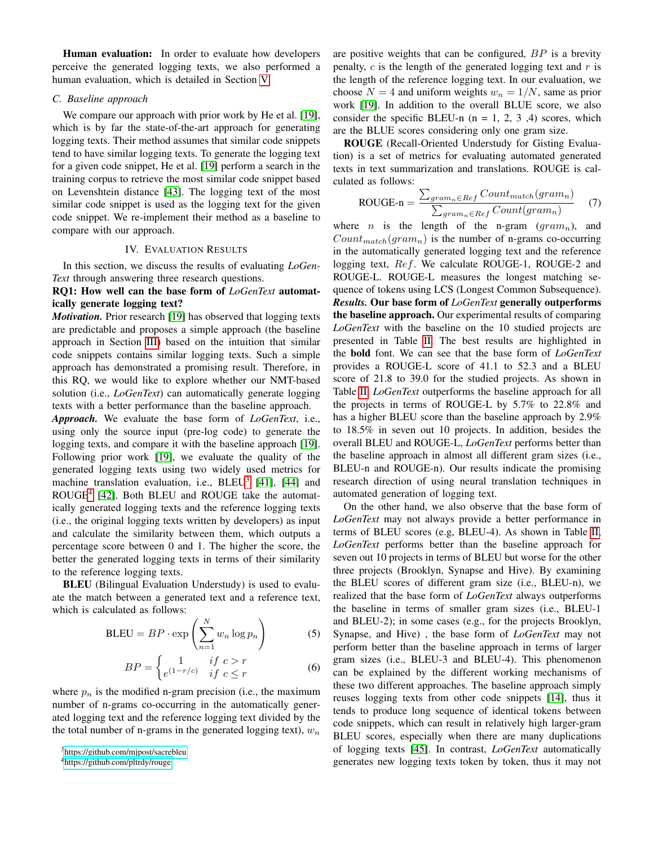Human evaluation: In order to evaluate how developers perceive the generated logging texts, we also performed a human evaluation, which is detailed in Section [V.](#page-7-0)

## *C. Baseline approach*

We compare our approach with prior work by He et al. [\[19\]](#page-10-18), which is by far the state-of-the-art approach for generating logging texts. Their method assumes that similar code snippets tend to have similar logging texts. To generate the logging text for a given code snippet, He et al. [\[19\]](#page-10-18) perform a search in the training corpus to retrieve the most similar code snippet based on Levenshtein distance [\[43\]](#page-11-4). The logging text of the most similar code snippet is used as the logging text for the given code snippet. We re-implement their method as a baseline to compare with our approach.

#### IV. EVALUATION RESULTS

<span id="page-4-0"></span>In this section, we discuss the results of evaluating *LoGen-Text* through answering three research questions.

RQ1: How well can the base form of *LoGenText* automatically generate logging text?

*Motivation.* Prior research [\[19\]](#page-10-18) has observed that logging texts are predictable and proposes a simple approach (the baseline approach in Section [III\)](#page-3-0) based on the intuition that similar code snippets contains similar logging texts. Such a simple approach has demonstrated a promising result. Therefore, in this RQ, we would like to explore whether our NMT-based solution (i.e., *LoGenText*) can automatically generate logging texts with a better performance than the baseline approach.

*Approach.* We evaluate the base form of *LoGenText*, i.e., using only the source input (pre-log code) to generate the logging texts, and compare it with the baseline approach [\[19\]](#page-10-18). Following prior work [\[19\]](#page-10-18), we evaluate the quality of the generated logging texts using two widely used metrics for machine translation evaluation, i.e.,  $BLEU^3$  $BLEU^3$  [\[41\]](#page-11-2), [\[44\]](#page-11-5) and ROUGE<sup>[4](#page-0-0)</sup> [\[42\]](#page-11-3). Both BLEU and ROUGE take the automatically generated logging texts and the reference logging texts (i.e., the original logging texts written by developers) as input and calculate the similarity between them, which outputs a percentage score between 0 and 1. The higher the score, the better the generated logging texts in terms of their similarity to the reference logging texts.

BLEU (Bilingual Evaluation Understudy) is used to evaluate the match between a generated text and a reference text, which is calculated as follows:

$$
BLEU = BP \cdot \exp\left(\sum_{n=1}^{N} w_n \log p_n\right) \tag{5}
$$

$$
BP = \begin{cases} 1 & \text{if } c > r \\ e^{(1-r/c)} & \text{if } c \le r \end{cases}
$$
 (6)

where  $p_n$  is the modified n-gram precision (i.e., the maximum number of n-grams co-occurring in the automatically generated logging text and the reference logging text divided by the the total number of n-grams in the generated logging text),  $w_n$  are positive weights that can be configured,  $BP$  is a brevity penalty,  $c$  is the length of the generated logging text and  $r$  is the length of the reference logging text. In our evaluation, we choose  $N = 4$  and uniform weights  $w_n = 1/N$ , same as prior work [\[19\]](#page-10-18). In addition to the overall BLUE score, we also consider the specific BLEU-n  $(n = 1, 2, 3, 4)$  scores, which are the BLUE scores considering only one gram size.

ROUGE (Recall-Oriented Understudy for Gisting Evaluation) is a set of metrics for evaluating automated generated texts in text summarization and translations. ROUGE is calculated as follows:

$$
ROUGE-n = \frac{\sum_{gram_n \in Ref} Count_{match}(gram_n)}{\sum_{gram_n \in Ref} Count(gram_n)} \tag{7}
$$

where *n* is the length of the n-gram  $(gram_n)$ , and  $Count_{match}(gram_n)$  is the number of n-grams co-occurring in the automatically generated logging text and the reference logging text, Ref. We calculate ROUGE-1, ROUGE-2 and ROUGE-L. ROUGE-L measures the longest matching sequence of tokens using LCS (Longest Common Subsequence). *Results.* Our base form of *LoGenText* generally outperforms the baseline approach. Our experimental results of comparing *LoGenText* with the baseline on the 10 studied projects are presented in Table [II.](#page-5-0) The best results are highlighted in the bold font. We can see that the base form of *LoGenText* provides a ROUGE-L score of 41.1 to 52.3 and a BLEU score of 21.8 to 39.0 for the studied projects. As shown in Table [II,](#page-5-0) *LoGenText* outperforms the baseline approach for all the projects in terms of ROUGE-L by 5.7% to 22.8% and has a higher BLEU score than the baseline approach by 2.9% to 18.5% in seven out 10 projects. In addition, besides the overall BLEU and ROUGE-L, *LoGenText* performs better than the baseline approach in almost all different gram sizes (i.e., BLEU-n and ROUGE-n). Our results indicate the promising research direction of using neural translation techniques in automated generation of logging text.

On the other hand, we also observe that the base form of *LoGenText* may not always provide a better performance in terms of BLEU scores (e.g, BLEU-4). As shown in Table [II,](#page-5-0) *LoGenText* performs better than the baseline approach for seven out 10 projects in terms of BLEU but worse for the other three projects (Brooklyn, Synapse and Hive). By examining the BLEU scores of different gram size (i.e., BLEU-n), we realized that the base form of *LoGenText* always outperforms the baseline in terms of smaller gram sizes (i.e., BLEU-1 and BLEU-2); in some cases (e.g., for the projects Brooklyn, Synapse, and Hive) , the base form of *LoGenText* may not perform better than the baseline approach in terms of larger gram sizes (i.e., BLEU-3 and BLEU-4). This phenomenon can be explained by the different working mechanisms of these two different approaches. The baseline approach simply reuses logging texts from other code snippets [\[14\]](#page-10-13), thus it tends to produce long sequence of identical tokens between code snippets, which can result in relatively high larger-gram BLEU scores, especially when there are many duplications of logging texts [\[45\]](#page-11-6). In contrast, *LoGenText* automatically generates new logging texts token by token, thus it may not

<sup>3</sup><https://github.com/mjpost/sacrebleu>

<sup>4</sup><https://github.com/pltrdy/rouge>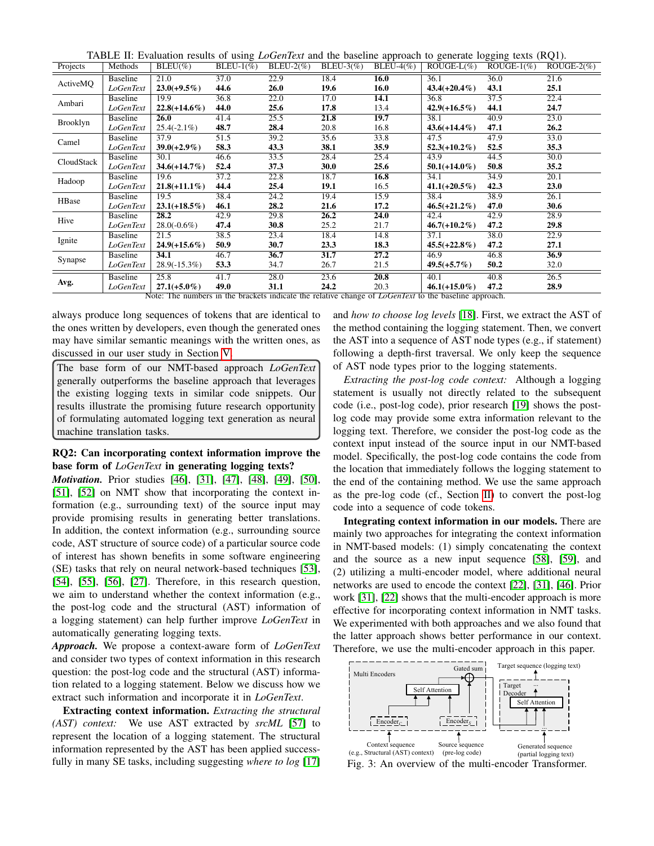TABLE II: Evaluation results of using *LoGenText* and the baseline approach to generate logging texts (RQ1).

<span id="page-5-0"></span>

| Projects                                                                                                     | Methods         | $BLEU(\%)$      | BLEU- $1\%$ ) | $BLEU-2(\%)$ | BLEU-3 $(\%)$ | BLEU-4 $(\%)$ | $ROUGE-L(\%)$   | ROUGE- $1\%$ ) | ROUGE- $2\%$ ) |
|--------------------------------------------------------------------------------------------------------------|-----------------|-----------------|---------------|--------------|---------------|---------------|-----------------|----------------|----------------|
| ActiveMQ                                                                                                     | Baseline        | 21.0            | 37.0          | 22.9         | 18.4          | 16.0          | 36.1            | 36.0           | 21.6           |
|                                                                                                              | LoGenText       | $23.0(+9.5\%)$  | 44.6          | 26.0         | 19.6          | 16.0          | $43.4(+20.4\%)$ | 43.1           | 25.1           |
| Ambari                                                                                                       | Baseline        | 19.9            | 36.8          | 22.0         | 17.0          | 14.1          | 36.8            | 37.5           | 22.4           |
|                                                                                                              | LoGenText       | $22.8(+14.6\%)$ | 44.0          | 25.6         | 17.8          | 13.4          | $42.9(+16.5\%)$ | 44.1           | 24.7           |
| Brooklyn                                                                                                     | Baseline        | <b>26.0</b>     | 41.4          | 25.5         | 21.8          | 19.7          | 38.1            | 40.9           | 23.0           |
|                                                                                                              | LoGenText       | $25.4(-2.1\%)$  | 48.7          | 28.4         | 20.8          | 16.8          | $43.6(+14.4\%)$ | 47.1           | 26.2           |
| Camel                                                                                                        | Baseline        | 37.9            | 51.5          | 39.2         | 35.6          | 33.8          | 47.5            | 47.9           | 33.0           |
|                                                                                                              | LoGenText       | $39.0(+2.9\%)$  | 58.3          | 43.3         | 38.1          | 35.9          | $52.3(+10.2\%)$ | 52.5           | 35.3           |
| CloudStack                                                                                                   | Baseline        | 30.1            | 46.6          | 33.5         | 28.4          | 25.4          | 43.9            | 44.5           | 30.0           |
|                                                                                                              | LoGenText       | $34.6(+14.7\%)$ | 52.4          | 37.3         | <b>30.0</b>   | 25.6          | $50.1(+14.0\%)$ | 50.8           | 35.2           |
| Hadoop                                                                                                       | Baseline        | 19.6            | 37.2          | 22.8         | 18.7          | 16.8          | 34.1            | 34.9           | 20.1           |
|                                                                                                              | LoGenText       | $21.8(+11.1\%)$ | 44.4          | 25.4         | 19.1          | 16.5          | $41.1(+20.5\%)$ | 42.3           | 23.0           |
| HBase                                                                                                        | Baseline        | 19.5            | 38.4          | 24.2         | 19.4          | 15.9          | 38.4            | 38.9           | 26.1           |
|                                                                                                              | LoGenText       | $23.1(+18.5\%)$ | 46.1          | 28.2         | 21.6          | 17.2          | $46.5(+21.2\%)$ | 47.0           | 30.6           |
| Hive                                                                                                         | Baseline        | 28.2            | 42.9          | 29.8         | 26.2          | 24.0          | 42.4            | 42.9           | 28.9           |
|                                                                                                              | LoGenText       | $28.0(-0.6\%)$  | 47.4          | 30.8         | 25.2          | 21.7          | $46.7(+10.2\%)$ | 47.2           | 29.8           |
|                                                                                                              | Baseline        | 21.5            | 38.5          | 23.4         | 18.4          | 14.8          | 37.1            | 38.0           | 22.9           |
| Ignite                                                                                                       | LoGenText       | $24.9(+15.6\%)$ | 50.9          | 30.7         | 23.3          | 18.3          | $45.5(+22.8\%)$ | 47.2           | 27.1           |
| Synapse                                                                                                      | Baseline        | 34.1            | 46.7          | 36.7         | 31.7          | 27.2          | 46.9            | 46.8           | 36.9           |
|                                                                                                              | LoGenText       | $28.9(-15.3\%)$ | 53.3          | 34.7         | 26.7          | 21.5          | $49.5(+5.7\%)$  | 50.2           | 32.0           |
|                                                                                                              | <b>Baseline</b> | 25.8            | 41.7          | 28.0         | 23.6          | 20.8          | 40.1            | 40.8           | 26.5           |
| Avg.                                                                                                         | LoGenText       | $27.1(+5.0\%)$  | 49.0          | 31.1         | 24.2          | 20.3          | $46.1(+15.0\%)$ | 47.2           | 28.9           |
| Note: The numbers in the brackets indicate the relative change of <i>LoGenText</i> to the baseline approach. |                 |                 |               |              |               |               |                 |                |                |

always produce long sequences of tokens that are identical to the ones written by developers, even though the generated ones may have similar semantic meanings with the written ones, as discussed in our user study in Section [V.](#page-7-0)

The base form of our NMT-based approach *LoGenText* generally outperforms the baseline approach that leverages the existing logging texts in similar code snippets. Our results illustrate the promising future research opportunity of formulating automated logging text generation as neural machine translation tasks.

## RQ2: Can incorporating context information improve the base form of *LoGenText* in generating logging texts?

*Motivation.* Prior studies [\[46\]](#page-11-7), [\[31\]](#page-10-30), [\[47\]](#page-11-8), [\[48\]](#page-11-9), [\[49\]](#page-11-10), [\[50\]](#page-11-11), [\[51\]](#page-11-12), [\[52\]](#page-11-13) on NMT show that incorporating the context information (e.g., surrounding text) of the source input may provide promising results in generating better translations. In addition, the context information (e.g., surrounding source code, AST structure of source code) of a particular source code of interest has shown benefits in some software engineering (SE) tasks that rely on neural network-based techniques [\[53\]](#page-11-14), [\[54\]](#page-11-15), [\[55\]](#page-11-16), [\[56\]](#page-11-17), [\[27\]](#page-10-26). Therefore, in this research question, we aim to understand whether the context information (e.g., the post-log code and the structural (AST) information of a logging statement) can help further improve *LoGenText* in automatically generating logging texts.

*Approach.* We propose a context-aware form of *LoGenText* and consider two types of context information in this research question: the post-log code and the structural (AST) information related to a logging statement. Below we discuss how we extract such information and incorporate it in *LoGenText*.

Extracting context information. *Extracting the structural (AST) context:* We use AST extracted by *srcML* [\[57\]](#page-11-18) to represent the location of a logging statement. The structural information represented by the AST has been applied successfully in many SE tasks, including suggesting *where to log* [\[17\]](#page-10-16)

and *how to choose log levels* [\[18\]](#page-10-17). First, we extract the AST of the method containing the logging statement. Then, we convert the AST into a sequence of AST node types (e.g., if statement) following a depth-first traversal. We only keep the sequence of AST node types prior to the logging statements.

*Extracting the post-log code context:* Although a logging statement is usually not directly related to the subsequent code (i.e., post-log code), prior research [\[19\]](#page-10-18) shows the postlog code may provide some extra information relevant to the logging text. Therefore, we consider the post-log code as the context input instead of the source input in our NMT-based model. Specifically, the post-log code contains the code from the location that immediately follows the logging statement to the end of the containing method. We use the same approach as the pre-log code (cf., Section [II\)](#page-1-0) to convert the post-log code into a sequence of code tokens.

Integrating context information in our models. There are mainly two approaches for integrating the context information in NMT-based models: (1) simply concatenating the context and the source as a new input sequence [\[58\]](#page-11-19), [\[59\]](#page-11-20), and (2) utilizing a multi-encoder model, where additional neural networks are used to encode the context [\[22\]](#page-10-21), [\[31\]](#page-10-30), [\[46\]](#page-11-7). Prior work [\[31\]](#page-10-30), [\[22\]](#page-10-21) shows that the multi-encoder approach is more effective for incorporating context information in NMT tasks. We experimented with both approaches and we also found that the latter approach shows better performance in our context. Therefore, we use the multi-encoder approach in this paper.

<span id="page-5-1"></span>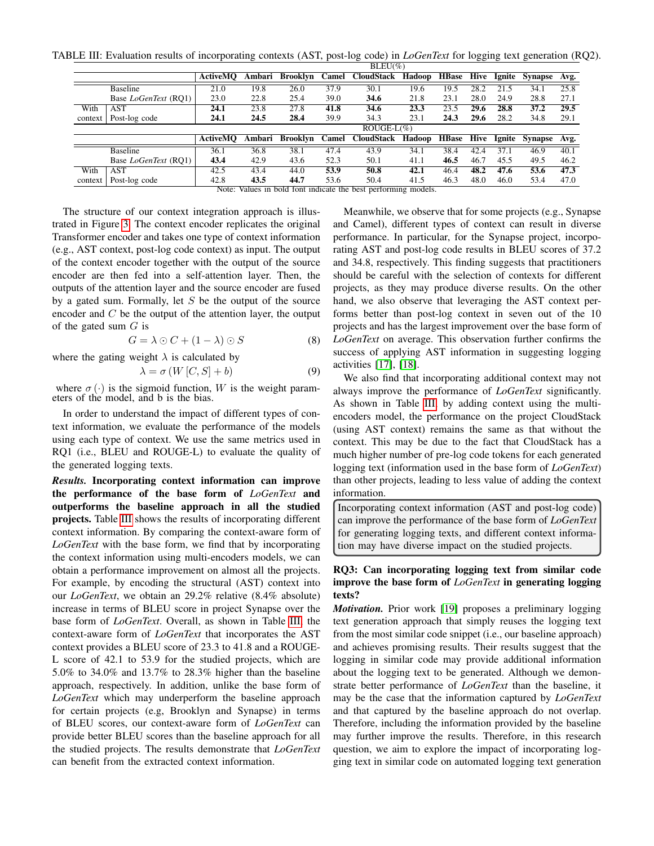<span id="page-6-0"></span>TABLE III: Evaluation results of incorporating contexts (AST, post-log code) in *LoGenText* for logging text generation (RQ2).

|         |                             | $BLEU(\%)$      |        |          |       |                  |        |              |      |        |                |      |
|---------|-----------------------------|-----------------|--------|----------|-------|------------------|--------|--------------|------|--------|----------------|------|
|         |                             | <b>ActiveMO</b> | Ambari | Brooklyn |       | Camel CloudStack | Hadoop | <b>HBase</b> | Hive | Ignite | <b>Synapse</b> | Avg. |
|         | <b>Baseline</b>             | 21.0            | 19.8   | 26.0     | 37.9  | 30.1             | 19.6   | 19.5         | 28.2 | 21.5   | 34.1           | 25.8 |
|         | Base <i>LoGenText</i> (RO1) | 23.0            | 22.8   | 25.4     | 39.0  | 34.6             | 21.8   | 23.1         | 28.0 | 24.9   | 28.8           | 27.1 |
| With    | AST                         | 24.1            | 23.8   | 27.8     | 41.8  | 34.6             | 23.3   | 23.5         | 29.6 | 28.8   | 37.2           | 29.5 |
| context | Post-log code               | 24.1            | 24.5   | 28.4     | 39.9  | 34.3             | 23.1   | 24.3         | 29.6 | 28.2   | 34.8           | 29.1 |
|         |                             | $ROUGE-L(\%)$   |        |          |       |                  |        |              |      |        |                |      |
|         |                             |                 |        |          |       |                  |        |              |      |        |                | Avg. |
|         |                             | <b>ActiveMO</b> | Ambari | Brooklyn | Camel | CloudStack       | Hadoop | <b>HBase</b> | Hive | Ignite | Synapse        |      |
|         | <b>Baseline</b>             | 36.1            | 36.8   | 38.1     | 47.4  | 43.9             | 34.1   | 38.4         | 42.4 | 37.1   | 46.9           | 40.1 |
|         | Base <i>LoGenText</i> (RO1) | 43.4            | 42.9   | 43.6     | 52.3  | 50.1             | 41.1   | 46.5         | 46.7 | 45.5   | 49.5           | 46.2 |
| With    | <b>AST</b>                  | 42.5            | 43.4   | 44.0     | 53.9  | 50.8             | 42.1   | 46.4         | 48.2 | 47.6   | 53.6           | 47.3 |
| context | Post-log code               | 42.8            | 43.5   | 44.7     | 53.6  | 50.4             | 41.5   | 46.3         | 48.0 | 46.0   | 53.4           | 47.0 |

The structure of our context integration approach is illustrated in Figure [3.](#page-5-1) The context encoder replicates the original Transformer encoder and takes one type of context information (e.g., AST context, post-log code context) as input. The output of the context encoder together with the output of the source encoder are then fed into a self-attention layer. Then, the outputs of the attention layer and the source encoder are fused by a gated sum. Formally, let  $S$  be the output of the source encoder and  $C$  be the output of the attention layer, the output of the gated sum  $G$  is

$$
G = \lambda \odot C + (1 - \lambda) \odot S \tag{8}
$$

where the gating weight  $\lambda$  is calculated by

$$
\lambda = \sigma(W[C, S] + b) \tag{9}
$$

where  $\sigma(\cdot)$  is the sigmoid function, W is the weight parameters of the model, and b is the bias.

In order to understand the impact of different types of context information, we evaluate the performance of the models using each type of context. We use the same metrics used in RQ1 (i.e., BLEU and ROUGE-L) to evaluate the quality of the generated logging texts.

*Results.* Incorporating context information can improve the performance of the base form of *LoGenText* and outperforms the baseline approach in all the studied projects. Table [III](#page-6-0) shows the results of incorporating different context information. By comparing the context-aware form of *LoGenText* with the base form, we find that by incorporating the context information using multi-encoders models, we can obtain a performance improvement on almost all the projects. For example, by encoding the structural (AST) context into our *LoGenText*, we obtain an 29.2% relative (8.4% absolute) increase in terms of BLEU score in project Synapse over the base form of *LoGenText*. Overall, as shown in Table [III,](#page-6-0) the context-aware form of *LoGenText* that incorporates the AST context provides a BLEU score of 23.3 to 41.8 and a ROUGE-L score of 42.1 to 53.9 for the studied projects, which are 5.0% to 34.0% and 13.7% to 28.3% higher than the baseline approach, respectively. In addition, unlike the base form of *LoGenText* which may underperform the baseline approach for certain projects (e.g, Brooklyn and Synapse) in terms of BLEU scores, our context-aware form of *LoGenText* can provide better BLEU scores than the baseline approach for all the studied projects. The results demonstrate that *LoGenText* can benefit from the extracted context information.

Meanwhile, we observe that for some projects (e.g., Synapse and Camel), different types of context can result in diverse performance. In particular, for the Synapse project, incorporating AST and post-log code results in BLEU scores of 37.2 and 34.8, respectively. This finding suggests that practitioners should be careful with the selection of contexts for different projects, as they may produce diverse results. On the other hand, we also observe that leveraging the AST context performs better than post-log context in seven out of the 10 projects and has the largest improvement over the base form of *LoGenText* on average. This observation further confirms the success of applying AST information in suggesting logging activities [\[17\]](#page-10-16), [\[18\]](#page-10-17).

We also find that incorporating additional context may not always improve the performance of *LoGenText* significantly. As shown in Table [III,](#page-6-0) by adding context using the multiencoders model, the performance on the project CloudStack (using AST context) remains the same as that without the context. This may be due to the fact that CloudStack has a much higher number of pre-log code tokens for each generated logging text (information used in the base form of *LoGenText*) than other projects, leading to less value of adding the context information.

Incorporating context information (AST and post-log code) can improve the performance of the base form of *LoGenText* for generating logging texts, and different context information may have diverse impact on the studied projects.

# RQ3: Can incorporating logging text from similar code improve the base form of *LoGenText* in generating logging texts?

*Motivation.* Prior work [\[19\]](#page-10-18) proposes a preliminary logging text generation approach that simply reuses the logging text from the most similar code snippet (i.e., our baseline approach) and achieves promising results. Their results suggest that the logging in similar code may provide additional information about the logging text to be generated. Although we demonstrate better performance of *LoGenText* than the baseline, it may be the case that the information captured by *LoGenText* and that captured by the baseline approach do not overlap. Therefore, including the information provided by the baseline may further improve the results. Therefore, in this research question, we aim to explore the impact of incorporating logging text in similar code on automated logging text generation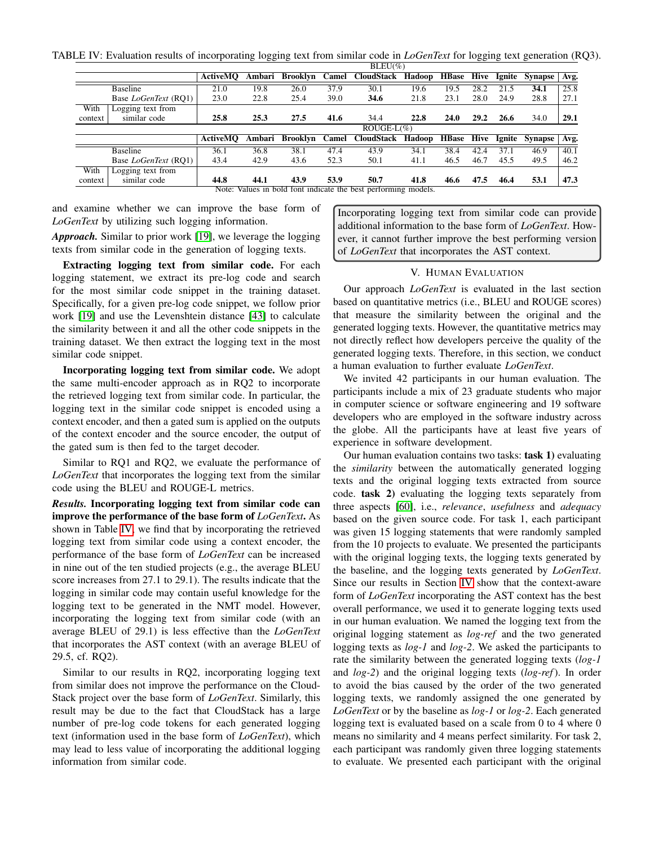<span id="page-7-1"></span>TABLE IV: Evaluation results of incorporating logging text from similar code in *LoGenText* for logging text generation (RQ3).

|                                                                | $BLEU(\%)$      |               |                 |       |                   |        |                   |      |        |                |      |
|----------------------------------------------------------------|-----------------|---------------|-----------------|-------|-------------------|--------|-------------------|------|--------|----------------|------|
|                                                                | <b>ActiveMO</b> | Ambari        | Brooklyn        | Camel | CloudStack        | Hadoop | <b>HBase Hive</b> |      | Ignite | <b>Synapse</b> | Avg. |
| <b>Baseline</b>                                                | 21.0            | 19.8          | 26.0            | 37.9  | 30.1              | 19.6   | 19.5              | 28.2 | 21.5   | 34.1           | 25.8 |
| Base <i>LoGenText</i> (RO1)                                    | 23.0            | 22.8          | 25.4            | 39.0  | 34.6              | 21.8   | 23.1              | 28.0 | 24.9   | 28.8           | 27.1 |
| With<br>Logging text from                                      |                 |               |                 |       |                   |        |                   |      |        |                |      |
| similar code<br>context                                        | 25.8            | 25.3          | 27.5            | 41.6  | 34.4              | 22.8   | 24.0              | 29.2 | 26.6   | 34.0           | 29.1 |
|                                                                |                 | $ROUGE-L(\%)$ |                 |       |                   |        |                   |      |        |                |      |
|                                                                | <b>ActiveMO</b> | Ambari        | <b>Brooklyn</b> | Camel | <b>CloudStack</b> | Hadoop | <b>HBase</b>      | Hive | Ignite | <b>Synapse</b> | Avg. |
| <b>Baseline</b>                                                | 36.1            | 36.8          | 38.1            | 47.4  | 43.9              | 34.1   | 38.4              | 42.4 | 37.1   | 46.9           | 40.1 |
| Base <i>LoGenText</i> (RO1)                                    | 43.4            | 42.9          | 43.6            | 52.3  | 50.1              | 41.1   | 46.5              | 46.7 | 45.5   | 49.5           | 46.2 |
| With<br>Logging text from                                      |                 |               |                 |       |                   |        |                   |      |        |                |      |
| similar code<br>context                                        | 44.8            | 44.1          | 43.9            | 53.9  | 50.7              | 41.8   | 46.6              | 47.5 | 46.4   | 53.1           | 47.3 |
| Note: Values in bold font indicate the best performing models. |                 |               |                 |       |                   |        |                   |      |        |                |      |

and examine whether we can improve the base form of *LoGenText* by utilizing such logging information.

*Approach.* Similar to prior work [\[19\]](#page-10-18), we leverage the logging texts from similar code in the generation of logging texts.

Extracting logging text from similar code. For each logging statement, we extract its pre-log code and search for the most similar code snippet in the training dataset. Specifically, for a given pre-log code snippet, we follow prior work [\[19\]](#page-10-18) and use the Levenshtein distance [\[43\]](#page-11-4) to calculate the similarity between it and all the other code snippets in the training dataset. We then extract the logging text in the most similar code snippet.

Incorporating logging text from similar code. We adopt the same multi-encoder approach as in RQ2 to incorporate the retrieved logging text from similar code. In particular, the logging text in the similar code snippet is encoded using a context encoder, and then a gated sum is applied on the outputs of the context encoder and the source encoder, the output of the gated sum is then fed to the target decoder.

Similar to RQ1 and RQ2, we evaluate the performance of *LoGenText* that incorporates the logging text from the similar code using the BLEU and ROUGE-L metrics.

*Results.* Incorporating logging text from similar code can improve the performance of the base form of *LoGenText*. As shown in Table [IV,](#page-7-1) we find that by incorporating the retrieved logging text from similar code using a context encoder, the performance of the base form of *LoGenText* can be increased in nine out of the ten studied projects (e.g., the average BLEU score increases from 27.1 to 29.1). The results indicate that the logging in similar code may contain useful knowledge for the logging text to be generated in the NMT model. However, incorporating the logging text from similar code (with an average BLEU of 29.1) is less effective than the *LoGenText* that incorporates the AST context (with an average BLEU of 29.5, cf. RQ2).

Similar to our results in RQ2, incorporating logging text from similar does not improve the performance on the Cloud-Stack project over the base form of *LoGenText*. Similarly, this result may be due to the fact that CloudStack has a large number of pre-log code tokens for each generated logging text (information used in the base form of *LoGenText*), which may lead to less value of incorporating the additional logging information from similar code.

Incorporating logging text from similar code can provide additional information to the base form of *LoGenText*. However, it cannot further improve the best performing version of *LoGenText* that incorporates the AST context.

## V. HUMAN EVALUATION

<span id="page-7-0"></span>Our approach *LoGenText* is evaluated in the last section based on quantitative metrics (i.e., BLEU and ROUGE scores) that measure the similarity between the original and the generated logging texts. However, the quantitative metrics may not directly reflect how developers perceive the quality of the generated logging texts. Therefore, in this section, we conduct a human evaluation to further evaluate *LoGenText*.

We invited 42 participants in our human evaluation. The participants include a mix of 23 graduate students who major in computer science or software engineering and 19 software developers who are employed in the software industry across the globe. All the participants have at least five years of experience in software development.

Our human evaluation contains two tasks: task 1) evaluating the *similarity* between the automatically generated logging texts and the original logging texts extracted from source code. task 2) evaluating the logging texts separately from three aspects [\[60\]](#page-11-21), i.e., *relevance*, *usefulness* and *adequacy* based on the given source code. For task 1, each participant was given 15 logging statements that were randomly sampled from the 10 projects to evaluate. We presented the participants with the original logging texts, the logging texts generated by the baseline, and the logging texts generated by *LoGenText*. Since our results in Section [IV](#page-4-0) show that the context-aware form of *LoGenText* incorporating the AST context has the best overall performance, we used it to generate logging texts used in our human evaluation. We named the logging text from the original logging statement as *log-ref* and the two generated logging texts as *log-1* and *log-2*. We asked the participants to rate the similarity between the generated logging texts (*log-1* and *log-2*) and the original logging texts (*log-ref*). In order to avoid the bias caused by the order of the two generated logging texts, we randomly assigned the one generated by *LoGenText* or by the baseline as *log-1* or *log-2*. Each generated logging text is evaluated based on a scale from 0 to 4 where 0 means no similarity and 4 means perfect similarity. For task 2, each participant was randomly given three logging statements to evaluate. We presented each participant with the original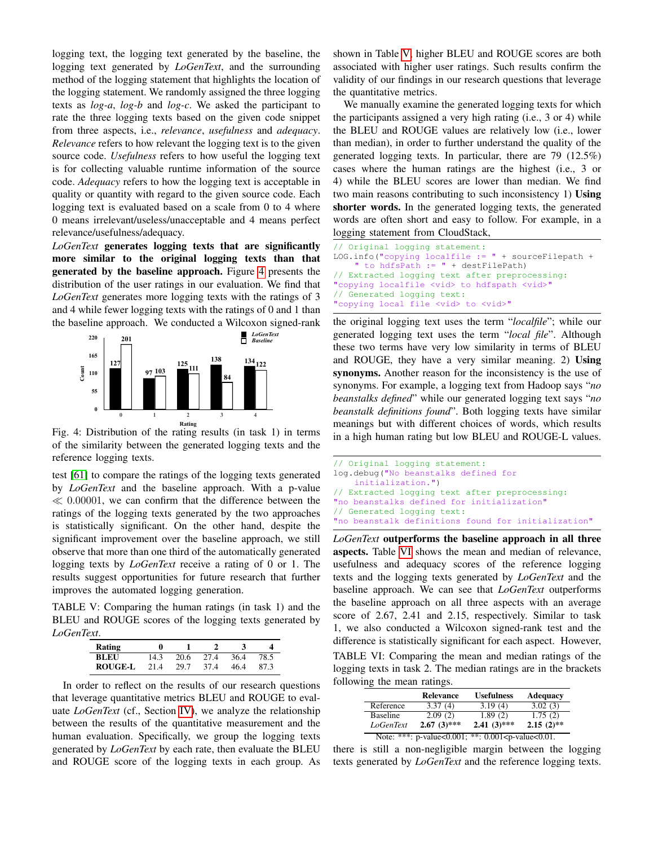logging text, the logging text generated by the baseline, the logging text generated by *LoGenText*, and the surrounding method of the logging statement that highlights the location of the logging statement. We randomly assigned the three logging texts as *log-a*, *log-b* and *log-c*. We asked the participant to rate the three logging texts based on the given code snippet from three aspects, i.e., *relevance*, *usefulness* and *adequacy*. *Relevance* refers to how relevant the logging text is to the given source code. *Usefulness* refers to how useful the logging text is for collecting valuable runtime information of the source code. *Adequacy* refers to how the logging text is acceptable in quality or quantity with regard to the given source code. Each logging text is evaluated based on a scale from 0 to 4 where 0 means irrelevant/useless/unacceptable and 4 means perfect relevance/usefulness/adequacy.

*LoGenText* generates logging texts that are significantly more similar to the original logging texts than that generated by the baseline approach. Figure [4](#page-8-0) presents the distribution of the user ratings in our evaluation. We find that *LoGenText* generates more logging texts with the ratings of 3 and 4 while fewer logging texts with the ratings of 0 and 1 than the baseline approach. We conducted a Wilcoxon signed-rank

<span id="page-8-0"></span>

Fig. 4: Distribution of the rating results (in task 1) in terms of the similarity between the generated logging texts and the reference logging texts.

test [\[61\]](#page-11-22) to compare the ratings of the logging texts generated by *LoGenText* and the baseline approach. With a p-value  $\ll 0.00001$ , we can confirm that the difference between the ratings of the logging texts generated by the two approaches is statistically significant. On the other hand, despite the significant improvement over the baseline approach, we still observe that more than one third of the automatically generated logging texts by *LoGenText* receive a rating of 0 or 1. The results suggest opportunities for future research that further improves the automated logging generation.

<span id="page-8-1"></span>TABLE V: Comparing the human ratings (in task 1) and the BLEU and ROUGE scores of the logging texts generated by *LoGenText*.

| Rating         |      |      |      |      |      |
|----------------|------|------|------|------|------|
| BLEU           | 14.3 | 20.6 | 27.4 | 36.4 | 78.5 |
| <b>ROUGE-L</b> | 214  | 29.7 | 37.4 | 46.4 | 87.3 |

In order to reflect on the results of our research questions that leverage quantitative metrics BLEU and ROUGE to evaluate *LoGenText* (cf., Section [IV\)](#page-4-0), we analyze the relationship between the results of the quantitative measurement and the human evaluation. Specifically, we group the logging texts generated by *LoGenText* by each rate, then evaluate the BLEU and ROUGE score of the logging texts in each group. As

shown in Table [V,](#page-8-1) higher BLEU and ROUGE scores are both associated with higher user ratings. Such results confirm the validity of our findings in our research questions that leverage the quantitative metrics.

We manually examine the generated logging texts for which the participants assigned a very high rating (i.e., 3 or 4) while the BLEU and ROUGE values are relatively low (i.e., lower than median), in order to further understand the quality of the generated logging texts. In particular, there are 79 (12.5%) cases where the human ratings are the highest (i.e., 3 or 4) while the BLEU scores are lower than median. We find two main reasons contributing to such inconsistency 1) Using shorter words. In the generated logging texts, the generated words are often short and easy to follow. For example, in a logging statement from CloudStack,

```
// Original logging statement:
LOG.info("copying localfile := " + sourceFilepath +
    " to hdfsPath := " + destFilePath)
// Extracted logging text after preprocessing:
"copying localfile <vid> to hdfspath <vid>"
// Generated logging text:
"copying local file <vid> to <vid>"
```
the original logging text uses the term "*localfile*"; while our generated logging text uses the term "*local file*". Although these two terms have very low similarity in terms of BLEU and ROUGE, they have a very similar meaning. 2) Using synonyms. Another reason for the inconsistency is the use of synonyms. For example, a logging text from Hadoop says "*no beanstalks defined*" while our generated logging text says "*no beanstalk definitions found*". Both logging texts have similar meanings but with different choices of words, which results in a high human rating but low BLEU and ROUGE-L values.

```
// Original logging statement:
log.debug("No beanstalks defined for
    initialization.")
// Extracted logging text after preprocessing:
"no beanstalks defined for initialization"
// Generated logging text:
"no beanstalk definitions found for initialization"
```
*LoGenText* outperforms the baseline approach in all three aspects. Table [VI](#page-8-2) shows the mean and median of relevance, usefulness and adequacy scores of the reference logging texts and the logging texts generated by *LoGenText* and the baseline approach. We can see that *LoGenText* outperforms the baseline approach on all three aspects with an average score of 2.67, 2.41 and 2.15, respectively. Similar to task 1, we also conducted a Wilcoxon signed-rank test and the difference is statistically significant for each aspect. However,

<span id="page-8-2"></span>TABLE VI: Comparing the mean and median ratings of the logging texts in task 2. The median ratings are in the brackets following the mean ratings.

|                  | <b>Relevance</b> | <b>Usefulness</b>                                                                    | <b>Adequacy</b> |
|------------------|------------------|--------------------------------------------------------------------------------------|-----------------|
| Reference        | 3.37(4)          | 3.19(4)                                                                              | 3.02(3)         |
| <b>Baseline</b>  | 2.09(2)          | 1.89(2)                                                                              | 1.75(2)         |
| <i>LoGenText</i> | $2.67(3)$ ***    | $2.41(3)$ ***                                                                        | $2.15(2)$ **    |
|                  |                  | Note: ***: p-value<0.001; **: 0.001 <p-value<0.01.< td=""><td></td></p-value<0.01.<> |                 |

there is still a non-negligible margin between the logging texts generated by *LoGenText* and the reference logging texts.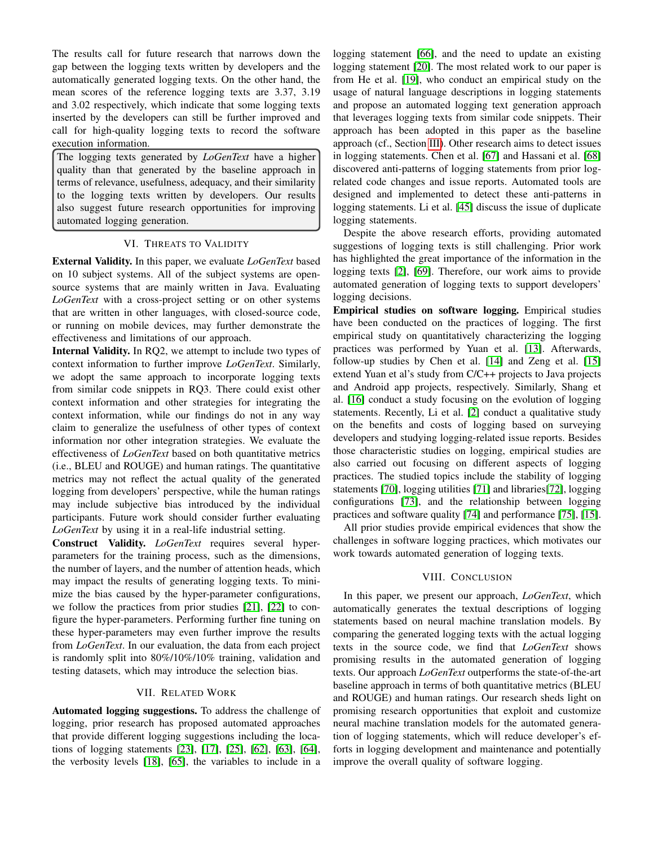The results call for future research that narrows down the gap between the logging texts written by developers and the automatically generated logging texts. On the other hand, the mean scores of the reference logging texts are 3.37, 3.19 and 3.02 respectively, which indicate that some logging texts inserted by the developers can still be further improved and call for high-quality logging texts to record the software execution information.

The logging texts generated by *LoGenText* have a higher quality than that generated by the baseline approach in terms of relevance, usefulness, adequacy, and their similarity to the logging texts written by developers. Our results also suggest future research opportunities for improving automated logging generation.

## VI. THREATS TO VALIDITY

<span id="page-9-0"></span>External Validity. In this paper, we evaluate *LoGenText* based on 10 subject systems. All of the subject systems are opensource systems that are mainly written in Java. Evaluating *LoGenText* with a cross-project setting or on other systems that are written in other languages, with closed-source code, or running on mobile devices, may further demonstrate the effectiveness and limitations of our approach.

Internal Validity. In RQ2, we attempt to include two types of context information to further improve *LoGenText*. Similarly, we adopt the same approach to incorporate logging texts from similar code snippets in RQ3. There could exist other context information and other strategies for integrating the context information, while our findings do not in any way claim to generalize the usefulness of other types of context information nor other integration strategies. We evaluate the effectiveness of *LoGenText* based on both quantitative metrics (i.e., BLEU and ROUGE) and human ratings. The quantitative metrics may not reflect the actual quality of the generated logging from developers' perspective, while the human ratings may include subjective bias introduced by the individual participants. Future work should consider further evaluating *LoGenText* by using it in a real-life industrial setting.

Construct Validity. *LoGenText* requires several hyperparameters for the training process, such as the dimensions, the number of layers, and the number of attention heads, which may impact the results of generating logging texts. To minimize the bias caused by the hyper-parameter configurations, we follow the practices from prior studies [\[21\]](#page-10-20), [\[22\]](#page-10-21) to configure the hyper-parameters. Performing further fine tuning on these hyper-parameters may even further improve the results from *LoGenText*. In our evaluation, the data from each project is randomly split into 80%/10%/10% training, validation and testing datasets, which may introduce the selection bias.

## VII. RELATED WORK

<span id="page-9-1"></span>Automated logging suggestions. To address the challenge of logging, prior research has proposed automated approaches that provide different logging suggestions including the locations of logging statements [\[23\]](#page-10-22), [\[17\]](#page-10-16), [\[25\]](#page-10-24), [\[62\]](#page-11-23), [\[63\]](#page-11-24), [\[64\]](#page-11-25), the verbosity levels [\[18\]](#page-10-17), [\[65\]](#page-11-26), the variables to include in a logging statement [\[66\]](#page-11-27), and the need to update an existing logging statement [\[20\]](#page-10-19). The most related work to our paper is from He et al. [\[19\]](#page-10-18), who conduct an empirical study on the usage of natural language descriptions in logging statements and propose an automated logging text generation approach that leverages logging texts from similar code snippets. Their approach has been adopted in this paper as the baseline approach (cf., Section [III\)](#page-3-0). Other research aims to detect issues in logging statements. Chen et al. [\[67\]](#page-11-28) and Hassani et al. [\[68\]](#page-11-29) discovered anti-patterns of logging statements from prior logrelated code changes and issue reports. Automated tools are designed and implemented to detect these anti-patterns in logging statements. Li et al. [\[45\]](#page-11-6) discuss the issue of duplicate logging statements.

Despite the above research efforts, providing automated suggestions of logging texts is still challenging. Prior work has highlighted the great importance of the information in the logging texts [\[2\]](#page-10-1), [\[69\]](#page-11-30). Therefore, our work aims to provide automated generation of logging texts to support developers' logging decisions.

Empirical studies on software logging. Empirical studies have been conducted on the practices of logging. The first empirical study on quantitatively characterizing the logging practices was performed by Yuan et al. [\[13\]](#page-10-12). Afterwards, follow-up studies by Chen et al. [\[14\]](#page-10-13) and Zeng et al. [\[15\]](#page-10-14) extend Yuan et al's study from C/C++ projects to Java projects and Android app projects, respectively. Similarly, Shang et al. [\[16\]](#page-10-15) conduct a study focusing on the evolution of logging statements. Recently, Li et al. [\[2\]](#page-10-1) conduct a qualitative study on the benefits and costs of logging based on surveying developers and studying logging-related issue reports. Besides those characteristic studies on logging, empirical studies are also carried out focusing on different aspects of logging practices. The studied topics include the stability of logging statements [\[70\]](#page-11-31), logging utilities [\[71\]](#page-11-32) and libraries[\[72\]](#page-11-33), logging configurations [\[73\]](#page-11-34), and the relationship between logging practices and software quality [\[74\]](#page-11-35) and performance [\[75\]](#page-11-36), [\[15\]](#page-10-14).

All prior studies provide empirical evidences that show the challenges in software logging practices, which motivates our work towards automated generation of logging texts.

#### VIII. CONCLUSION

<span id="page-9-2"></span>In this paper, we present our approach, *LoGenText*, which automatically generates the textual descriptions of logging statements based on neural machine translation models. By comparing the generated logging texts with the actual logging texts in the source code, we find that *LoGenText* shows promising results in the automated generation of logging texts. Our approach *LoGenText* outperforms the state-of-the-art baseline approach in terms of both quantitative metrics (BLEU and ROUGE) and human ratings. Our research sheds light on promising research opportunities that exploit and customize neural machine translation models for the automated generation of logging statements, which will reduce developer's efforts in logging development and maintenance and potentially improve the overall quality of software logging.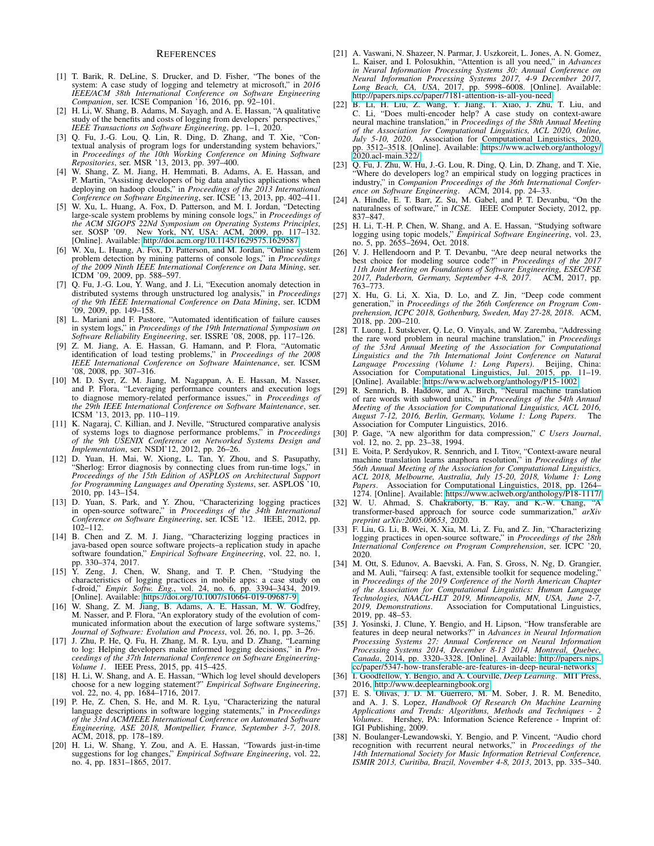#### **REFERENCES**

- <span id="page-10-0"></span>[1] T. Barik, R. DeLine, S. Drucker, and D. Fisher, "The bones of the system: A case study of logging and telemetry at microsoft," in *2016 IEEE/ACM 38th International Conference on Software Engineering Companion*, ser. ICSE Companion '16, 2016, pp. 92–101.
- <span id="page-10-1"></span>[2] H. Li, W. Shang, B. Adams, M. Sayagh, and A. E. Hassan, "A qualitative study of the benefits and costs of logging from developers' perspectives," *IEEE Transactions on Software Engineering*, pp. 1–1, 2020.
- <span id="page-10-2"></span>[3] Q. Fu, J.-G. Lou, Q. Lin, R. Ding, D. Zhang, and T. Xie, "Contextual analysis of program logs for understanding system behaviors, in *Proceedings of the 10th Working Conference on Mining Software Repositories*, ser. MSR '13, 2013, pp. 397–400.
- <span id="page-10-3"></span>[4] W. Shang, Z. M. Jiang, H. Hemmati, B. Adams, A. E. Hassan, and P. Martin, "Assisting developers of big data analytics applications when deploying on hadoop clouds," in *Proceedings of the 2013 International Conference on Software Engineering*, ser. ICSE '13, 2013, pp. 402–411.
- <span id="page-10-4"></span>[5] W. Xu, L. Huang, A. Fox, D. Patterson, and M. I. Jordan, "Detecting large-scale system problems by mining console logs," in *Proceedings of the ACM SIGOPS 22Nd Symposium on Operating Systems Principles*, ser. SOSP '09. New York, NY, USA: ACM, 2009, pp. 117–132. [Online]. Available:<http://doi.acm.org/10.1145/1629575.1629587>
- <span id="page-10-5"></span>[6] W. Xu, L. Huang, A. Fox, D. Patterson, and M. Jordan, "Online system problem detection by mining patterns of console logs," in *Proceedings of the 2009 Ninth IEEE International Conference on Data Mining*, ser. ICDM '09, 2009, pp. 588–597.
- <span id="page-10-6"></span>[7] Q. Fu, J.-G. Lou,  $\hat{Y}$ . Wang, and J. Li, "Execution anomaly detection in distributed systems through unstructured log analysis," in *Proceedings of the 9th IEEE International Conference on Data Mining*, ser. ICDM '09, 2009, pp. 149–158.
- <span id="page-10-7"></span>[8] L. Mariani and F. Pastore, "Automated identification of failure causes in system logs," in *Proceedings of the 19th International Symposium on Software Reliability Engineering*, ser. ISSRE '08, 2008, pp. 117–126.
- <span id="page-10-8"></span>[9] Z. M. Jiang, A. E. Hassan, G. Hamann, and P. Flora, "Automatic identification of load testing problems," in *Proceedings of the 2008 IEEE International Conference on Software Maintenance*, ser. ICSM '08, 2008, pp. 307–316.
- <span id="page-10-9"></span>[10] M. D. Syer, Z. M. Jiang, M. Nagappan, A. E. Hassan, M. Nasser, and P. Flora, "Leveraging performance counters and execution logs to diagnose memory-related performance issues," in *Proceedings of the 29th IEEE International Conference on Software Maintenance*, ser. ICSM '13, 2013, pp. 110–119.
- <span id="page-10-10"></span>[11] K. Nagaraj, C. Killian, and J. Neville, "Structured comparative analysis of systems logs to diagnose performance problems," in *Proceedings of the 9th USENIX Conference on Networked Systems Design and Implementation*, ser. NSDI'12, 2012, pp. 26–26.
- <span id="page-10-11"></span>[12] D. Yuan, H. Mai, W. Xiong, L. Tan, Y. Zhou, and S. Pasupathy, "Sherlog: Error diagnosis by connecting clues from run-time logs," in *Proceedings of the 15th Edition of ASPLOS on Architectural Support for Programming Languages and Operating Systems*, ser. ASPLOS '10, 2010, pp. 143–154.
- <span id="page-10-12"></span>[13] D. Yuan, S. Park, and Y. Zhou, "Characterizing logging practices in open-source software," in *Proceedings of the 34th International Conference on Software Engineering*, ser. ICSE '12. IEEE, 2012, pp. 102–112.
- <span id="page-10-13"></span>[14] B. Chen and Z. M. J. Jiang, "Characterizing logging practices in java-based open source software projects–a replication study in apache software foundation," *Empirical Software Engineering*, vol. 22, no. 1, pp. 330–374, 2017.
- <span id="page-10-14"></span>[15] Y. Zeng, J. Chen, W. Shang, and T. P. Chen, "Studying the characteristics of logging practices in mobile apps: a case study on f-droid," *Empir. Softw. Eng.*, vol. 24, no. 6, pp. 3394–3434, 2019. [Online]. Available:<https://doi.org/10.1007/s10664-019-09687-9>
- <span id="page-10-15"></span>[16] W. Shang, Z. M. Jiang, B. Adams, A. E. Hassan, M. W. Godfrey, M. Nasser, and P. Flora, "An exploratory study of the evolution of communicated information about the execution of large software systems," *Journal of Software: Evolution and Process*, vol. 26, no. 1, pp. 3–26.
- <span id="page-10-16"></span>[17] J. Zhu, P. He, Q. Fu, H. Zhang, M. R. Lyu, and D. Zhang, "Learning to log: Helping developers make informed logging decisions," in *Proceedings of the 37th International Conference on Software Engineering-Volume 1*. IEEE Press, 2015, pp. 415–425.
- <span id="page-10-17"></span>[18] H. Li, W. Shang, and A. E. Hassan, "Which log level should developers choose for a new logging statement?" *Empirical Software Engineering*, vol. 22, no. 4, pp. 1684–1716, 2017.
- <span id="page-10-18"></span>[19] P. He, Z. Chen, S. He, and M. R. Lyu, "Characterizing the natural language descriptions in software logging statements," in *Proceedings of the 33rd ACM/IEEE International Conference on Automated Software Engineering, ASE 2018, Montpellier, France, September 3-7, 2018*. ACM, 2018, pp. 178–189.
- <span id="page-10-19"></span>[20] H. Li, W. Shang, Y. Zou, and A. E. Hassan, "Towards just-in-time suggestions for log changes," *Empirical Software Engineering*, vol. 22, no. 4, pp. 1831–1865, 2017.
- <span id="page-10-20"></span>[21] A. Vaswani, N. Shazeer, N. Parmar, J. Uszkoreit, L. Jones, A. N. Gomez, L. Kaiser, and I. Polosukhin, "Attention is all you need," in *Advances in Neural Information Processing Systems 30: Annual Conference on Neural Information Processing Systems 2017, 4-9 December 2017, Long Beach, CA, USA*, 2017, pp. 5998–6008. [Online]. Available: <http://papers.nips.cc/paper/7181-attention-is-all-you-need>
- <span id="page-10-21"></span>[22] B. Li, H. Liu, Z. Wang, Y. Jiang, T. Xiao, J. Zhu, T. Liu, and C. Li, "Does multi-encoder help? A case study on context-aware neural machine translation," in *Proceedings of the 58th Annual Meeting of the Association for Computational Linguistics, ACL 2020, Online, July 5-10, 2020*. Association for Computational Linguistics, 2020, pp. 3512–3518. [Online]. Available: [https://www.aclweb.org/anthology/](https://www.aclweb.org/anthology/2020.acl-main.322/) pp.  $3512 - 3313$ .
- <span id="page-10-22"></span>[23] Q. Fu, J. Zhu, W. Hu, J.-G. Lou, R. Ding, Q. Lin, D. Zhang, and T. Xie, "Where do developers log? an empirical study on logging practices in industry," in *Companion Proceedings of the 36th International Conference on Software Engineering*. ACM, 2014, pp. 24–33.
- <span id="page-10-23"></span>[24] A. Hindle, E. T. Barr, Z. Su, M. Gabel, and P. T. Devanbu, "On the naturalness of software," in *ICSE*. IEEE Computer Society, 2012, pp. 837–847.
- <span id="page-10-24"></span>[25] H. Li, T.-H. P. Chen, W. Shang, and A. E. Hassan, "Studying software logging using topic models," *Empirical Software Engineering*, vol. 23, no. 5, pp. 2655–2694, Oct. 2018.
- <span id="page-10-25"></span>[26] V. J. Hellendoorn and P. T. Devanbu, "Are deep neural networks the best choice for modeling source code?" in *Proceedings of the 2017 11th Joint Meeting on Foundations of Software Engineering, ESEC/FSE* 2017, Paderborn, Germany, September 4-8, 2017. 763–773.
- <span id="page-10-26"></span>[27] X. Hu, G. Li, X. Xia, D. Lo, and Z. Jin, "Deep code comment generation," in *Proceedings of the 26th Conference on Program Comprehension, ICPC 2018, Gothenburg, Sweden, May 27-28, 2018*. ACM, 2018, pp. 200–210.
- <span id="page-10-27"></span>[28] T. Luong, I. Sutskever, Q. Le, O. Vinyals, and W. Zaremba, "Addressing the rare word problem in neural machine translation," in *Proceedings of the 53rd Annual Meeting of the Association for Computational* Linguistics and the 7th International Joint Conference on Natural<br>Language Processing (Volume 1: Long Papers). Beijing, China:<br>Association for Computational Linguistics, Jul. 2015, pp. 11–19.<br>[Online]. Available: https://w
- <span id="page-10-28"></span>[29] R. Sennrich, B. Haddow, and A. Birch, "Neural machine translation of rare words with subword units," in *Proceedings of the 54th Annual Meeting of the Association for Computational Linguistics, ACL 2016, August 7-12, 2016, Berlin, Germany, Volume 1: Long Papers*. The Association for Computer Linguistics, 2016.
- <span id="page-10-29"></span>[30] P. Gage, "A new algorithm for data compression," *C Users Journal*, vol. 12, no. 2, pp. 23–38, 1994.
- <span id="page-10-30"></span>[31] E. Voita, P. Serdyukov, R. Sennrich, and I. Titov, "Context-aware neural machine translation learns anaphora resolution," in *Proceedings of the 56th Annual Meeting of the Association for Computational Linguistics, ACL 2018, Melbourne, Australia, July 15-20, 2018, Volume 1: Long Papers*. Association for Computational Linguistics, 2018, pp. 1264– 1274. [Online]. Available:<https://www.aclweb.org/anthology/P18-1117/>
- <span id="page-10-31"></span>[32] W. U. Ahmad, S. Chakraborty, B. Ray, and K.-W. Chang, "A transformer-based approach for source code summarization," *arXiv preprint arXiv:2005.00653*, 2020.
- <span id="page-10-32"></span>[33] F. Liu, G. Li, B. Wei, X. Xia, M. Li, Z. Fu, and Z. Jin, "Characterizing logging practices in open-source software," in *Proceedings of the 28th International Conference on Program Comprehension*, ser. ICPC '20, 2020.
- <span id="page-10-33"></span>[34] M. Ott, S. Edunov, A. Baevski, A. Fan, S. Gross, N. Ng, D. Grangier, and M. Auli, "fairseq: A fast, extensible toolkit for sequence modeling," in *Proceedings of the 2019 Conference of the North American Chapter of the Association for Computational Linguistics: Human Language Technologies, NAACL-HLT 2019, Minneapolis, MN, USA, June 2-7,* Association for Computational Linguistics, 2019, pp. 48–53.
- <span id="page-10-34"></span>[35] J. Yosinski, J. Clune, Y. Bengio, and H. Lipson, "How transferable are features in deep neural networks?" in *Advances in Neural Information Processing Systems 27: Annual Conference on Neural Information Processing Systems 2014, December 8-13 2014, Montreal, Quebec, Canada*, 2014, pp. 3320–3328. [Online]. Available: [http://papers.nips.](http://papers.nips.cc/paper/5347-how-transferable-are-features-in-deep-neural-networks) [cc/paper/5347-how-transferable-are-features-in-deep-neural-networks](http://papers.nips.cc/paper/5347-how-transferable-are-features-in-deep-neural-networks)
- <span id="page-10-35"></span>[36] I. Goodfellow, Y. Bengio, and A. Courville, *Deep Learning*. MIT Press, 2016, [http://www.deeplearningbook.org.](http://www.deeplearningbook.org)
- <span id="page-10-36"></span>[37] E. S. Olivas, J. D. M. Guerrero, M. M. Sober, J. R. M. Benedito, and A. J. S. Lopez, *Handbook Of Research On Machine Learning Applications and Trends: Algorithms, Methods and Techniques - 2 Volumes*. Hershey, PA: Information Science Reference - Imprint of: IGI Publishing, 2009.
- <span id="page-10-37"></span>[38] N. Boulanger-Lewandowski, Y. Bengio, and P. Vincent, "Audio chord recognition with recurrent neural networks," in *Proceedings of the 14th International Society for Music Information Retrieval Conference, ISMIR 2013, Curitiba, Brazil, November 4-8, 2013*, 2013, pp. 335–340.